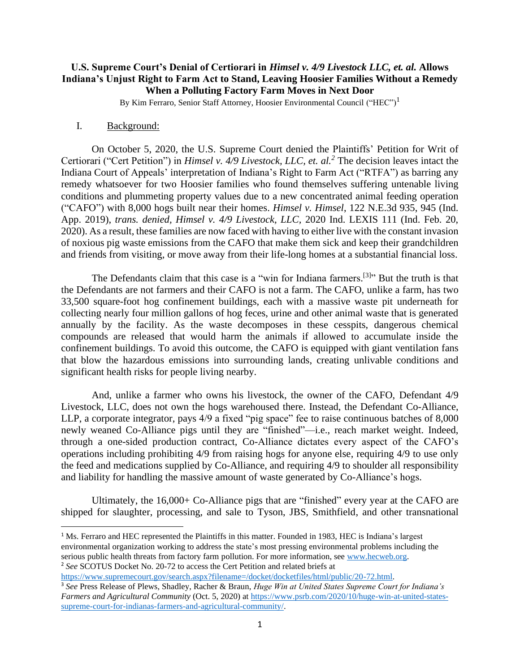# **U.S. Supreme Court's Denial of Certiorari in** *Himsel v. 4/9 Livestock LLC, et. al.* **Allows Indiana's Unjust Right to Farm Act to Stand, Leaving Hoosier Families Without a Remedy When a Polluting Factory Farm Moves in Next Door**

By Kim Ferraro, Senior Staff Attorney, Hoosier Environmental Council ("HEC")<sup>1</sup>

## I. Background:

On October 5, 2020, the U.S. Supreme Court denied the Plaintiffs' Petition for Writ of Certiorari ("Cert Petition") in *Himsel v. 4/9 Livestock, LLC, et. al.<sup>2</sup>* The decision leaves intact the Indiana Court of Appeals' interpretation of Indiana's Right to Farm Act ("RTFA") as barring any remedy whatsoever for two Hoosier families who found themselves suffering untenable living conditions and plummeting property values due to a new concentrated animal feeding operation ("CAFO") with 8,000 hogs built near their homes. *Himsel v. Himsel*, 122 N.E.3d 935, 945 (Ind. App. 2019), *trans. denied, Himsel v. 4/9 Livestock, LLC,* 2020 Ind. LEXIS 111 (Ind. Feb. 20, 2020). As a result, these families are now faced with having to either live with the constant invasion of noxious pig waste emissions from the CAFO that make them sick and keep their grandchildren and friends from visiting, or move away from their life-long homes at a substantial financial loss.

The Defendants claim that this case is a "win for Indiana farmers.<sup>[3]</sup>" But the truth is that the Defendants are not farmers and their CAFO is not a farm. The CAFO, unlike a farm, has two 33,500 square-foot hog confinement buildings, each with a massive waste pit underneath for collecting nearly four million gallons of hog feces, urine and other animal waste that is generated annually by the facility. As the waste decomposes in these cesspits, dangerous chemical compounds are released that would harm the animals if allowed to accumulate inside the confinement buildings. To avoid this outcome, the CAFO is equipped with giant ventilation fans that blow the hazardous emissions into surrounding lands, creating unlivable conditions and significant health risks for people living nearby.

And, unlike a farmer who owns his livestock, the owner of the CAFO, Defendant 4/9 Livestock, LLC, does not own the hogs warehoused there. Instead, the Defendant Co-Alliance, LLP, a corporate integrator, pays 4/9 a fixed "pig space" fee to raise continuous batches of 8,000 newly weaned Co-Alliance pigs until they are "finished"—i.e., reach market weight. Indeed, through a one-sided production contract, Co-Alliance dictates every aspect of the CAFO's operations including prohibiting 4/9 from raising hogs for anyone else, requiring 4/9 to use only the feed and medications supplied by Co-Alliance, and requiring 4/9 to shoulder all responsibility and liability for handling the massive amount of waste generated by Co-Alliance's hogs.

Ultimately, the 16,000+ Co-Alliance pigs that are "finished" every year at the CAFO are shipped for slaughter, processing, and sale to Tyson, JBS, Smithfield, and other transnational

[https://www.supremecourt.gov/search.aspx?filename=/docket/docketfiles/html/public/20-72.html.](https://www.supremecourt.gov/search.aspx?filename=/docket/docketfiles/html/public/20-72.html)

<sup>&</sup>lt;sup>1</sup> Ms. Ferraro and HEC represented the Plaintiffs in this matter. Founded in 1983, HEC is Indiana's largest environmental organization working to address the state's most pressing environmental problems including the serious public health threats from factory farm pollution. For more information, see [www.hecweb.org.](http://www.hecweb.org/) <sup>2</sup> See SCOTUS Docket No. 20-72 to access the Cert Petition and related briefs at

<sup>3</sup> *See* Press Release of Plews, Shadley, Racher & Braun, *Huge Win at United States Supreme Court for Indiana's Farmers and Agricultural Community* (Oct. 5, 2020) at [https://www.psrb.com/2020/10/huge-win-at-united-states](https://www.psrb.com/2020/10/huge-win-at-united-states-supreme-court-for-indianas-farmers-and-agricultural-community/)[supreme-court-for-indianas-farmers-and-agricultural-community/.](https://www.psrb.com/2020/10/huge-win-at-united-states-supreme-court-for-indianas-farmers-and-agricultural-community/)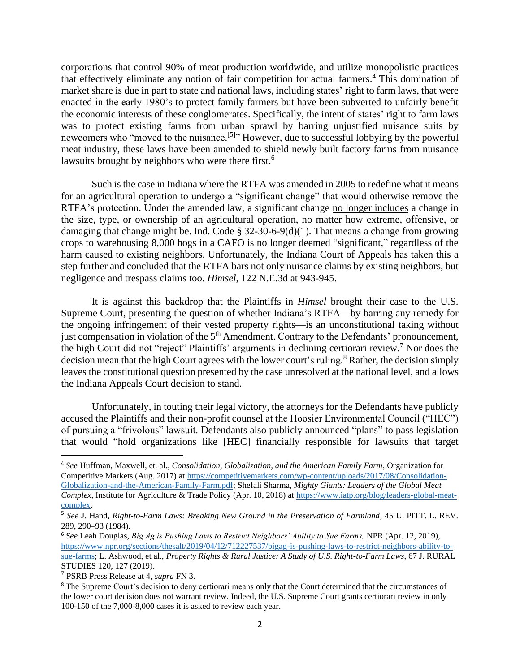corporations that control 90% of meat production worldwide, and utilize monopolistic practices that effectively eliminate any notion of fair competition for actual farmers.<sup>4</sup> This domination of market share is due in part to state and national laws, including states' right to farm laws, that were enacted in the early 1980's to protect family farmers but have been subverted to unfairly benefit the economic interests of these conglomerates. Specifically, the intent of states' right to farm laws was to protect existing farms from urban sprawl by barring unjustified nuisance suits by newcomers who "moved to the nuisance.<sup>[5]</sup>" However, due to successful lobbying by the powerful meat industry, these laws have been amended to shield newly built factory farms from nuisance lawsuits brought by neighbors who were there first.<sup>6</sup>

Such is the case in Indiana where the RTFA was amended in 2005 to redefine what it means for an agricultural operation to undergo a "significant change" that would otherwise remove the RTFA's protection. Under the amended law, a significant change no longer includes a change in the size, type, or ownership of an agricultural operation, no matter how extreme, offensive, or damaging that change might be. Ind. Code  $\S$  32-30-6-9(d)(1). That means a change from growing crops to warehousing 8,000 hogs in a CAFO is no longer deemed "significant," regardless of the harm caused to existing neighbors. Unfortunately, the Indiana Court of Appeals has taken this a step further and concluded that the RTFA bars not only nuisance claims by existing neighbors, but negligence and trespass claims too. *Himsel*, 122 N.E.3d at 943-945.

It is against this backdrop that the Plaintiffs in *Himsel* brought their case to the U.S. Supreme Court, presenting the question of whether Indiana's RTFA—by barring any remedy for the ongoing infringement of their vested property rights—is an unconstitutional taking without just compensation in violation of the 5<sup>th</sup> Amendment. Contrary to the Defendants' pronouncement, the high Court did not "reject" Plaintiffs' arguments in declining certiorari review.<sup>7</sup> Nor does the decision mean that the high Court agrees with the lower court's ruling.<sup>8</sup> Rather, the decision simply leaves the constitutional question presented by the case unresolved at the national level, and allows the Indiana Appeals Court decision to stand.

Unfortunately, in touting their legal victory, the attorneys for the Defendants have publicly accused the Plaintiffs and their non-profit counsel at the Hoosier Environmental Council ("HEC") of pursuing a "frivolous" lawsuit. Defendants also publicly announced "plans" to pass legislation that would "hold organizations like [HEC] financially responsible for lawsuits that target

<sup>4</sup> *See* Huffman, Maxwell, et. al*., Consolidation, Globalization, and the American Family Farm,* Organization for Competitive Markets (Aug. 2017) at [https://competitivemarkets.com/wp-content/uploads/2017/08/Consolidation-](https://competitivemarkets.com/wp-content/uploads/2017/08/Consolidation-Globalization-and-the-American-Family-Farm.pdf)[Globalization-and-the-American-Family-Farm.pdf;](https://competitivemarkets.com/wp-content/uploads/2017/08/Consolidation-Globalization-and-the-American-Family-Farm.pdf) Shefali Sharma, *Mighty Giants: Leaders of the Global Meat Complex,* Institute for Agriculture & Trade Policy (Apr. 10, 2018) at [https://www.iatp.org/blog/leaders-global-meat](https://www.iatp.org/blog/leaders-global-meat-complex)[complex.](https://www.iatp.org/blog/leaders-global-meat-complex)

<sup>5</sup> *See* J. Hand, *Right-to-Farm Laws: Breaking New Ground in the Preservation of Farmland*, 45 U. PITT. L. REV. 289, 290–93 (1984).

<sup>6</sup> *See* Leah Douglas, *Big Ag is Pushing Laws to Restrict Neighbors' Ability to Sue Farms,* NPR (Apr. 12, 2019), [https://www.npr.org/sections/thesalt/2019/04/12/712227537/bigag-is-pushing-laws-to-restrict-neighbors-ability-to](https://www.npr.org/sections/thesalt/2019/04/12/712227537/bigag-is-pushing-laws-to-restrict-neighbors-ability-to-sue-farms)[sue-farms;](https://www.npr.org/sections/thesalt/2019/04/12/712227537/bigag-is-pushing-laws-to-restrict-neighbors-ability-to-sue-farms) L. Ashwood, et al., *Property Rights & Rural Justice: A Study of U.S. Right-to-Farm Laws*, 67 J. RURAL STUDIES 120, 127 (2019).

<sup>7</sup> PSRB Press Release at 4, *supra* FN 3.

<sup>&</sup>lt;sup>8</sup> The Supreme Court's decision to deny certiorari means only that the Court determined that the circumstances of the lower court decision does not warrant review. Indeed, the U.S. Supreme Court grants certiorari review in only 100-150 of the 7,000-8,000 cases it is asked to review each year.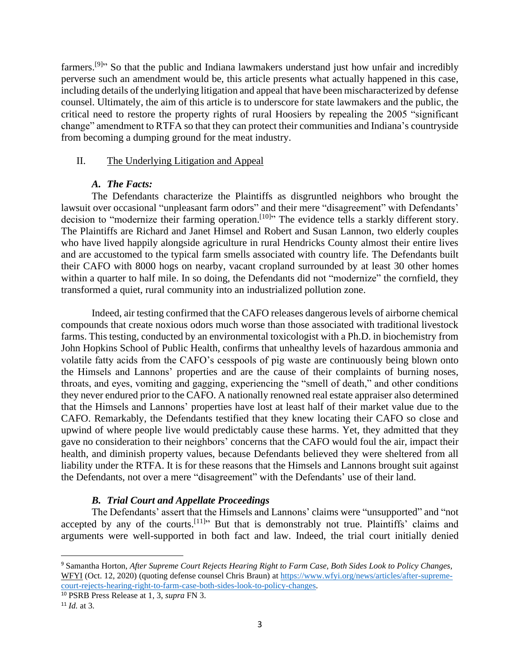farmers.<sup>[9]</sup><sup>\*</sup> So that the public and Indiana lawmakers understand just how unfair and incredibly perverse such an amendment would be, this article presents what actually happened in this case, including details of the underlying litigation and appeal that have been mischaracterized by defense counsel. Ultimately, the aim of this article is to underscore for state lawmakers and the public, the critical need to restore the property rights of rural Hoosiers by repealing the 2005 "significant change" amendment to RTFA so that they can protect their communities and Indiana's countryside from becoming a dumping ground for the meat industry.

## II. The Underlying Litigation and Appeal

## *A. The Facts:*

The Defendants characterize the Plaintiffs as disgruntled neighbors who brought the lawsuit over occasional "unpleasant farm odors" and their mere "disagreement" with Defendants' decision to "modernize their farming operation.<sup>[10]</sup>" The evidence tells a starkly different story. The Plaintiffs are Richard and Janet Himsel and Robert and Susan Lannon, two elderly couples who have lived happily alongside agriculture in rural Hendricks County almost their entire lives and are accustomed to the typical farm smells associated with country life. The Defendants built their CAFO with 8000 hogs on nearby, vacant cropland surrounded by at least 30 other homes within a quarter to half mile. In so doing, the Defendants did not "modernize" the cornfield, they transformed a quiet, rural community into an industrialized pollution zone.

Indeed, air testing confirmed that the CAFO releases dangerous levels of airborne chemical compounds that create noxious odors much worse than those associated with traditional livestock farms. This testing, conducted by an environmental toxicologist with a Ph.D. in biochemistry from John Hopkins School of Public Health, confirms that unhealthy levels of hazardous ammonia and volatile fatty acids from the CAFO's cesspools of pig waste are continuously being blown onto the Himsels and Lannons' properties and are the cause of their complaints of burning noses, throats, and eyes, vomiting and gagging, experiencing the "smell of death," and other conditions they never endured prior to the CAFO. A nationally renowned real estate appraiser also determined that the Himsels and Lannons' properties have lost at least half of their market value due to the CAFO. Remarkably, the Defendants testified that they knew locating their CAFO so close and upwind of where people live would predictably cause these harms. Yet, they admitted that they gave no consideration to their neighbors' concerns that the CAFO would foul the air, impact their health, and diminish property values, because Defendants believed they were sheltered from all liability under the RTFA. It is for these reasons that the Himsels and Lannons brought suit against the Defendants, not over a mere "disagreement" with the Defendants' use of their land.

# *B. Trial Court and Appellate Proceedings*

The Defendants' assert that the Himsels and Lannons' claims were "unsupported" and "not accepted by any of the courts.  $[11]$ <sup>11</sup> But that is demonstrably not true. Plaintiffs' claims and arguments were well-supported in both fact and law. Indeed, the trial court initially denied

<sup>9</sup> Samantha Horton, *After Supreme Court Rejects Hearing Right to Farm Case, Both Sides Look to Policy Changes,*  WFYI (Oct. 12, 2020) (quoting defense counsel Chris Braun) at [https://www.wfyi.org/news/articles/after-supreme](https://www.wfyi.org/news/articles/after-supreme-court-rejects-hearing-right-to-farm-case-both-sides-look-to-policy-changes)[court-rejects-hearing-right-to-farm-case-both-sides-look-to-policy-changes.](https://www.wfyi.org/news/articles/after-supreme-court-rejects-hearing-right-to-farm-case-both-sides-look-to-policy-changes)

<sup>10</sup> PSRB Press Release at 1, 3, *supra* FN 3.

<sup>11</sup> *Id.* at 3.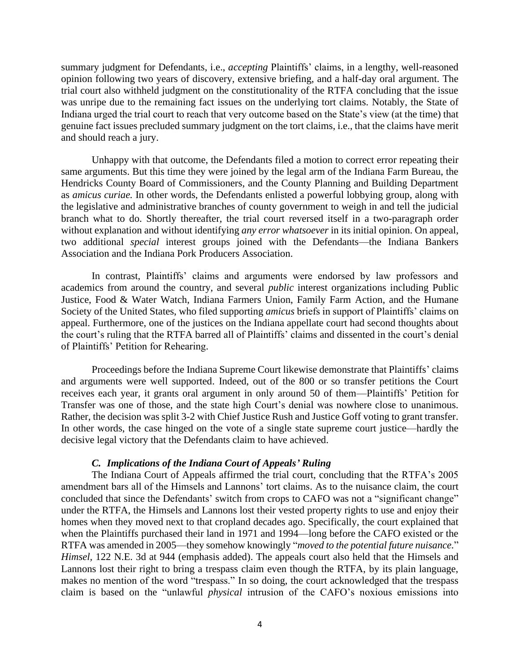summary judgment for Defendants, i.e., *accepting* Plaintiffs' claims, in a lengthy, well-reasoned opinion following two years of discovery, extensive briefing, and a half-day oral argument. The trial court also withheld judgment on the constitutionality of the RTFA concluding that the issue was unripe due to the remaining fact issues on the underlying tort claims. Notably, the State of Indiana urged the trial court to reach that very outcome based on the State's view (at the time) that genuine fact issues precluded summary judgment on the tort claims, i.e., that the claims have merit and should reach a jury.

Unhappy with that outcome, the Defendants filed a motion to correct error repeating their same arguments. But this time they were joined by the legal arm of the Indiana Farm Bureau, the Hendricks County Board of Commissioners, and the County Planning and Building Department as *amicus curiae.* In other words, the Defendants enlisted a powerful lobbying group, along with the legislative and administrative branches of county government to weigh in and tell the judicial branch what to do. Shortly thereafter, the trial court reversed itself in a two-paragraph order without explanation and without identifying *any error whatsoever* in its initial opinion. On appeal, two additional *special* interest groups joined with the Defendants—the Indiana Bankers Association and the Indiana Pork Producers Association.

In contrast, Plaintiffs' claims and arguments were endorsed by law professors and academics from around the country, and several *public* interest organizations including Public Justice, Food & Water Watch, Indiana Farmers Union, Family Farm Action, and the Humane Society of the United States, who filed supporting *amicus* briefs in support of Plaintiffs' claims on appeal. Furthermore, one of the justices on the Indiana appellate court had second thoughts about the court's ruling that the RTFA barred all of Plaintiffs' claims and dissented in the court's denial of Plaintiffs' Petition for Rehearing.

Proceedings before the Indiana Supreme Court likewise demonstrate that Plaintiffs' claims and arguments were well supported. Indeed, out of the 800 or so transfer petitions the Court receives each year, it grants oral argument in only around 50 of them—Plaintiffs' Petition for Transfer was one of those, and the state high Court's denial was nowhere close to unanimous. Rather, the decision was split 3-2 with Chief Justice Rush and Justice Goff voting to grant transfer. In other words, the case hinged on the vote of a single state supreme court justice—hardly the decisive legal victory that the Defendants claim to have achieved.

### *C. Implications of the Indiana Court of Appeals' Ruling*

The Indiana Court of Appeals affirmed the trial court, concluding that the RTFA's 2005 amendment bars all of the Himsels and Lannons' tort claims. As to the nuisance claim, the court concluded that since the Defendants' switch from crops to CAFO was not a "significant change" under the RTFA, the Himsels and Lannons lost their vested property rights to use and enjoy their homes when they moved next to that cropland decades ago. Specifically, the court explained that when the Plaintiffs purchased their land in 1971 and 1994—long before the CAFO existed or the RTFA was amended in 2005—they somehow knowingly "*moved to the potential future nuisance.*" *Himsel,* 122 N.E. 3d at 944 (emphasis added). The appeals court also held that the Himsels and Lannons lost their right to bring a trespass claim even though the RTFA, by its plain language, makes no mention of the word "trespass." In so doing, the court acknowledged that the trespass claim is based on the "unlawful *physical* intrusion of the CAFO's noxious emissions into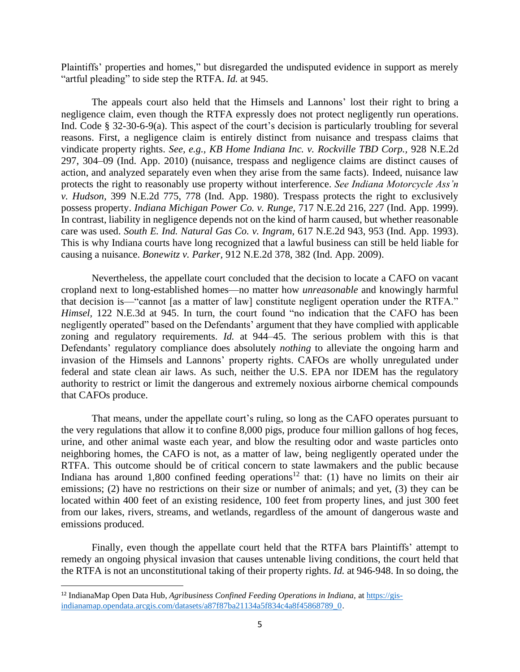Plaintiffs' properties and homes," but disregarded the undisputed evidence in support as merely "artful pleading" to side step the RTFA. *Id.* at 945.

The appeals court also held that the Himsels and Lannons' lost their right to bring a negligence claim, even though the RTFA expressly does not protect negligently run operations. Ind. Code § 32-30-6-9(a). This aspect of the court's decision is particularly troubling for several reasons. First, a negligence claim is entirely distinct from nuisance and trespass claims that vindicate property rights. *See, e.g., KB Home Indiana Inc. v. Rockville TBD Corp.,* 928 N.E.2d 297, 304–09 (Ind. App. 2010) (nuisance, trespass and negligence claims are distinct causes of action, and analyzed separately even when they arise from the same facts). Indeed, nuisance law protects the right to reasonably use property without interference. *See Indiana Motorcycle Ass'n v. Hudson,* 399 N.E.2d 775, 778 (Ind. App. 1980). Trespass protects the right to exclusively possess property. *Indiana Michigan Power Co. v. Runge,* 717 N.E.2d 216, 227 (Ind. App. 1999). In contrast, liability in negligence depends not on the kind of harm caused, but whether reasonable care was used. *South E. Ind. Natural Gas Co. v. Ingram,* 617 N.E.2d 943, 953 (Ind. App. 1993). This is why Indiana courts have long recognized that a lawful business can still be held liable for causing a nuisance. *Bonewitz v. Parker,* 912 N.E.2d 378, 382 (Ind. App. 2009).

Nevertheless, the appellate court concluded that the decision to locate a CAFO on vacant cropland next to long-established homes—no matter how *unreasonable* and knowingly harmful that decision is—"cannot [as a matter of law] constitute negligent operation under the RTFA." *Himsel,* 122 N.E.3d at 945. In turn, the court found "no indication that the CAFO has been negligently operated" based on the Defendants' argument that they have complied with applicable zoning and regulatory requirements. *Id.* at 944–45. The serious problem with this is that Defendants' regulatory compliance does absolutely *nothing* to alleviate the ongoing harm and invasion of the Himsels and Lannons' property rights. CAFOs are wholly unregulated under federal and state clean air laws. As such, neither the U.S. EPA nor IDEM has the regulatory authority to restrict or limit the dangerous and extremely noxious airborne chemical compounds that CAFOs produce.

That means, under the appellate court's ruling, so long as the CAFO operates pursuant to the very regulations that allow it to confine 8,000 pigs, produce four million gallons of hog feces, urine, and other animal waste each year, and blow the resulting odor and waste particles onto neighboring homes, the CAFO is not, as a matter of law, being negligently operated under the RTFA. This outcome should be of critical concern to state lawmakers and the public because Indiana has around 1,800 confined feeding operations<sup>12</sup> that: (1) have no limits on their air emissions; (2) have no restrictions on their size or number of animals; and yet, (3) they can be located within 400 feet of an existing residence, 100 feet from property lines, and just 300 feet from our lakes, rivers, streams, and wetlands, regardless of the amount of dangerous waste and emissions produced.

Finally, even though the appellate court held that the RTFA bars Plaintiffs' attempt to remedy an ongoing physical invasion that causes untenable living conditions, the court held that the RTFA is not an unconstitutional taking of their property rights. *Id.* at 946-948. In so doing, the

<sup>&</sup>lt;sup>12</sup> IndianaMap Open Data Hub, *Agribusiness Confined Feeding Operations in Indiana*, a[t https://gis](https://gis-indianamap.opendata.arcgis.com/datasets/a87f87ba21134a5f834c4a8f45868789_0)[indianamap.opendata.arcgis.com/datasets/a87f87ba21134a5f834c4a8f45868789\\_0](https://gis-indianamap.opendata.arcgis.com/datasets/a87f87ba21134a5f834c4a8f45868789_0).